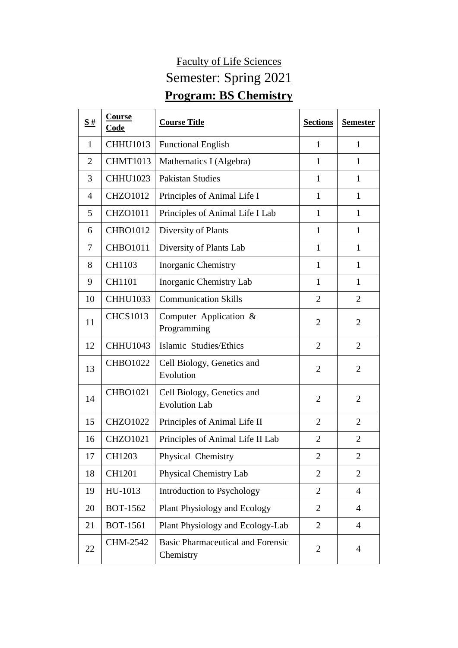## Faculty of Life Sciences Semester: Spring 2021 **Program: BS Chemistry**

| S#             | <b>Course</b><br><b>Code</b> | <b>Course Title</b>                                   | <b>Sections</b> | <b>Semester</b> |
|----------------|------------------------------|-------------------------------------------------------|-----------------|-----------------|
| $\mathbf{1}$   | <b>CHHU1013</b>              | <b>Functional English</b>                             | 1               | 1               |
| $\overline{2}$ | <b>CHMT1013</b>              | Mathematics I (Algebra)                               | $\mathbf{1}$    | $\mathbf{1}$    |
| 3              | <b>CHHU1023</b>              | <b>Pakistan Studies</b>                               | $\mathbf{1}$    | $\mathbf{1}$    |
| $\overline{4}$ | <b>CHZO1012</b>              | Principles of Animal Life I                           | $\mathbf{1}$    | $\mathbf{1}$    |
| 5              | <b>CHZO1011</b>              | Principles of Animal Life I Lab                       | $\mathbf{1}$    | $\mathbf{1}$    |
| 6              | <b>CHBO1012</b>              | Diversity of Plants                                   | $\mathbf{1}$    | $\mathbf{1}$    |
| 7              | <b>CHBO1011</b>              | Diversity of Plants Lab                               | $\mathbf{1}$    | $\mathbf{1}$    |
| 8              | CH1103                       | <b>Inorganic Chemistry</b>                            | $\mathbf{1}$    | $\mathbf{1}$    |
| 9              | CH1101                       | Inorganic Chemistry Lab                               | 1               | $\mathbf{1}$    |
| 10             | <b>CHHU1033</b>              | <b>Communication Skills</b>                           | $\overline{2}$  | $\overline{2}$  |
| 11             | <b>CHCS1013</b>              | Computer Application &<br>Programming                 | $\overline{2}$  | $\overline{2}$  |
| 12             | <b>CHHU1043</b>              | Islamic Studies/Ethics                                | $\overline{2}$  | $\overline{2}$  |
| 13             | <b>CHBO1022</b>              | Cell Biology, Genetics and<br>Evolution               | $\overline{2}$  | $\overline{2}$  |
| 14             | <b>CHBO1021</b>              | Cell Biology, Genetics and<br><b>Evolution Lab</b>    | $\overline{2}$  | $\overline{2}$  |
| 15             | <b>CHZO1022</b>              | Principles of Animal Life II                          | $\overline{2}$  | $\overline{2}$  |
| 16             | <b>CHZO1021</b>              | Principles of Animal Life II Lab                      | 2               | $\overline{2}$  |
| 17             | CH1203                       | Physical Chemistry                                    | $\overline{2}$  | 2               |
| 18             | CH1201                       | Physical Chemistry Lab                                | $\overline{2}$  | $\overline{2}$  |
| 19             | HU-1013                      | Introduction to Psychology                            | $\overline{2}$  | $\overline{4}$  |
| 20             | <b>BOT-1562</b>              | Plant Physiology and Ecology                          | $\overline{2}$  | $\overline{4}$  |
| 21             | <b>BOT-1561</b>              | Plant Physiology and Ecology-Lab                      | $\overline{2}$  | $\overline{4}$  |
| 22             | CHM-2542                     | <b>Basic Pharmaceutical and Forensic</b><br>Chemistry | $\overline{2}$  | $\overline{4}$  |